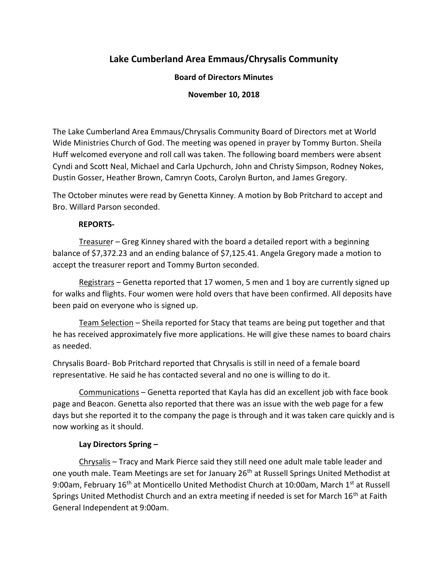# **Lake Cumberland Area Emmaus/Chrysalis Community**

# **Board of Directors Minutes**

## **November 10, 2018**

The Lake Cumberland Area Emmaus/Chrysalis Community Board of Directors met at World Wide Ministries Church of God. The meeting was opened in prayer by Tommy Burton. Sheila Huff welcomed everyone and roll call was taken. The following board members were absent Cyndi and Scott Neal, Michael and Carla Upchurch, John and Christy Simpson, Rodney Nokes, Dustin Gosser, Heather Brown, Camryn Coots, Carolyn Burton, and James Gregory.

The October minutes were read by Genetta Kinney. A motion by Bob Pritchard to accept and Bro. Willard Parson seconded.

## **REPORTS-**

Treasurer – Greg Kinney shared with the board a detailed report with a beginning balance of \$7,372.23 and an ending balance of \$7,125.41. Angela Gregory made a motion to accept the treasurer report and Tommy Burton seconded.

Registrars – Genetta reported that 17 women, 5 men and 1 boy are currently signed up for walks and flights. Four women were hold overs that have been confirmed. All deposits have been paid on everyone who is signed up.

Team Selection - Sheila reported for Stacy that teams are being put together and that he has received approximately five more applications. He will give these names to board chairs as needed.

Chrysalis Board- Bob Pritchard reported that Chrysalis is still in need of a female board representative. He said he has contacted several and no one is willing to do it.

Communications – Genetta reported that Kayla has did an excellent job with face book page and Beacon. Genetta also reported that there was an issue with the web page for a few days but she reported it to the company the page is through and it was taken care quickly and is now working as it should.

# **Lay Directors Spring –**

Chrysalis – Tracy and Mark Pierce said they still need one adult male table leader and one youth male. Team Meetings are set for January 26<sup>th</sup> at Russell Springs United Methodist at 9:00am, February 16<sup>th</sup> at Monticello United Methodist Church at 10:00am, March 1<sup>st</sup> at Russell Springs United Methodist Church and an extra meeting if needed is set for March 16<sup>th</sup> at Faith General Independent at 9:00am.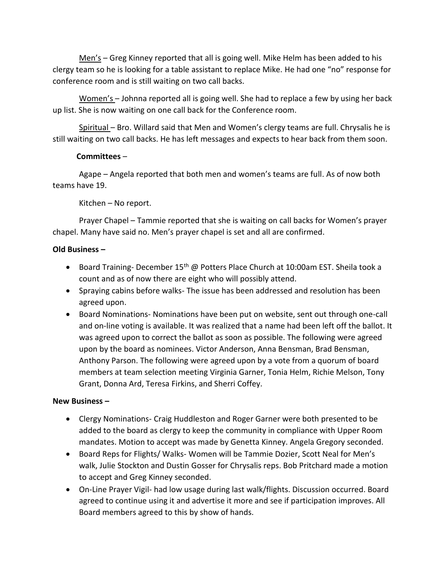Men's – Greg Kinney reported that all is going well. Mike Helm has been added to his clergy team so he is looking for a table assistant to replace Mike. He had one "no" response for conference room and is still waiting on two call backs.

Women's – Johnna reported all is going well. She had to replace a few by using her back up list. She is now waiting on one call back for the Conference room.

Spiritual – Bro. Willard said that Men and Women's clergy teams are full. Chrysalis he is still waiting on two call backs. He has left messages and expects to hear back from them soon.

## **Committees** –

Agape – Angela reported that both men and women's teams are full. As of now both teams have 19.

Kitchen – No report.

Prayer Chapel – Tammie reported that she is waiting on call backs for Women's prayer chapel. Many have said no. Men's prayer chapel is set and all are confirmed.

## **Old Business –**

- Board Training- December 15<sup>th</sup> @ Potters Place Church at 10:00am EST. Sheila took a count and as of now there are eight who will possibly attend.
- Spraying cabins before walks- The issue has been addressed and resolution has been agreed upon.
- Board Nominations- Nominations have been put on website, sent out through one-call and on-line voting is available. It was realized that a name had been left off the ballot. It was agreed upon to correct the ballot as soon as possible. The following were agreed upon by the board as nominees. Victor Anderson, Anna Bensman, Brad Bensman, Anthony Parson. The following were agreed upon by a vote from a quorum of board members at team selection meeting Virginia Garner, Tonia Helm, Richie Melson, Tony Grant, Donna Ard, Teresa Firkins, and Sherri Coffey.

## **New Business –**

- Clergy Nominations- Craig Huddleston and Roger Garner were both presented to be added to the board as clergy to keep the community in compliance with Upper Room mandates. Motion to accept was made by Genetta Kinney. Angela Gregory seconded.
- Board Reps for Flights/ Walks- Women will be Tammie Dozier, Scott Neal for Men's walk, Julie Stockton and Dustin Gosser for Chrysalis reps. Bob Pritchard made a motion to accept and Greg Kinney seconded.
- On-Line Prayer Vigil- had low usage during last walk/flights. Discussion occurred. Board agreed to continue using it and advertise it more and see if participation improves. All Board members agreed to this by show of hands.